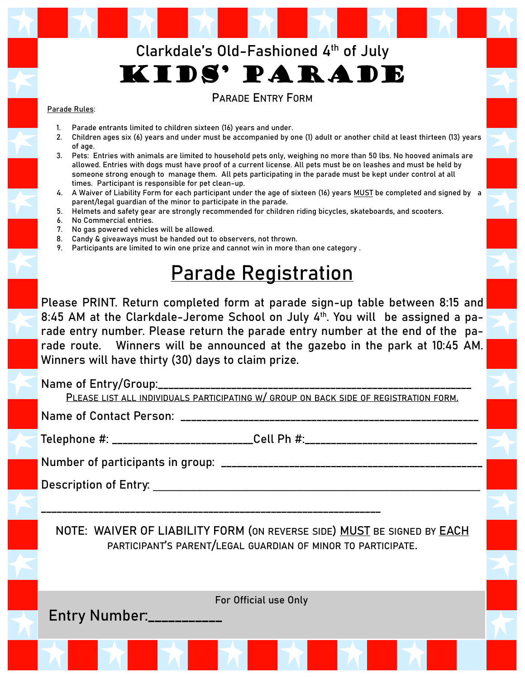## **Clarkdale's Old-Fashioned 4th of July**  Kids' Parade

### **PARADE ENTRY FORM**

#### Parade Rules:

- 1. Parade entrants limited to children sixteen (16) years and under.
- 2. Children ages six (6) years and under must be accompanied by one (1) adult or another child at least thirteen (13) years of age.
- 3. Pets: Entries with animals are limited to household pets only, weighing no more than 50 lbs. No hooved animals are allowed. Entries with dogs must have proof of a current license. All pets must be on leashes and must be held by someone strong enough to manage them. All pets participating in the parade must be kept under control at all times. Participant is responsible for pet clean-up.
- 4. A Waiver of Liability Form for each participant under the age of sixteen (16) years **MUST** be completed and signed by a parent/legal guardian of the minor to participate in the parade.
- 5. Helmets and safety gear are strongly recommended for children riding bicycles, skateboards, and scooters.
- 6. No Commercial entries.
- 7. No gas powered vehicles will be allowed.
- 8. Candy & giveaways must be handed out to observers, not thrown.
- 9. Participants are limited to win one prize and cannot win in more than one category .

# Parade Registration

Please PRINT. Return completed form at parade sign-up table between 8:15 and 8:45 AM at the Clarkdale-Jerome School on July 4th. You will be assigned a parade entry number. Please return the parade entry number at the end of the parade route. Winners will be announced at the gazebo in the park at 10:45 AM. Winners will have thirty (30) days to claim prize.

Name of Entry/Group:\_\_\_\_\_\_\_\_\_\_\_\_\_\_

**PLEASE LIST ALL INDIVIDUALS PARTICIPATING W/ GROUP ON BACK SIDE OF REGISTRATION FORM.**

Name of Contact Person: \_\_\_\_\_\_\_\_\_\_\_\_\_\_\_\_\_\_\_\_\_\_\_\_\_\_\_\_\_\_\_\_\_\_\_\_\_\_\_\_\_\_\_\_\_\_\_\_\_\_\_\_\_\_\_\_\_

Telephone #: \_\_\_\_\_\_\_\_\_\_\_\_\_\_\_\_\_\_\_\_\_\_\_\_\_\_Cell Ph #: \_\_\_\_\_\_\_\_\_\_\_\_\_\_\_\_\_\_\_\_\_\_\_\_\_\_\_\_\_\_

\_\_\_\_\_\_\_\_\_\_\_\_\_\_\_\_\_\_\_\_\_\_\_\_\_\_\_\_\_\_\_\_\_\_\_\_\_\_\_\_\_\_\_\_\_\_\_\_\_\_\_\_\_\_\_\_\_\_\_\_\_\_\_\_\_

Number of participants in group: \_\_\_\_\_\_\_\_\_\_\_\_\_\_\_\_\_\_\_\_\_\_\_\_\_\_\_\_\_\_\_\_\_\_\_\_\_\_\_\_\_\_\_\_\_\_\_\_\_\_

Description of Entry: \_\_\_\_\_\_\_\_\_\_\_\_\_\_\_\_\_\_\_\_\_\_\_\_\_\_\_\_\_\_\_\_\_\_\_\_\_\_\_\_\_\_\_\_\_\_\_\_\_

**NOTE: WAIVER OF LIABILITY FORM (ON REVERSE SIDE) MUST BE SIGNED BY EACH PARTICIPANT'S PARENT/LEGAL GUARDIAN OF MINOR TO PARTICIPATE.**

For Official use Only

Entry Number:\_\_\_\_\_\_\_\_\_\_\_